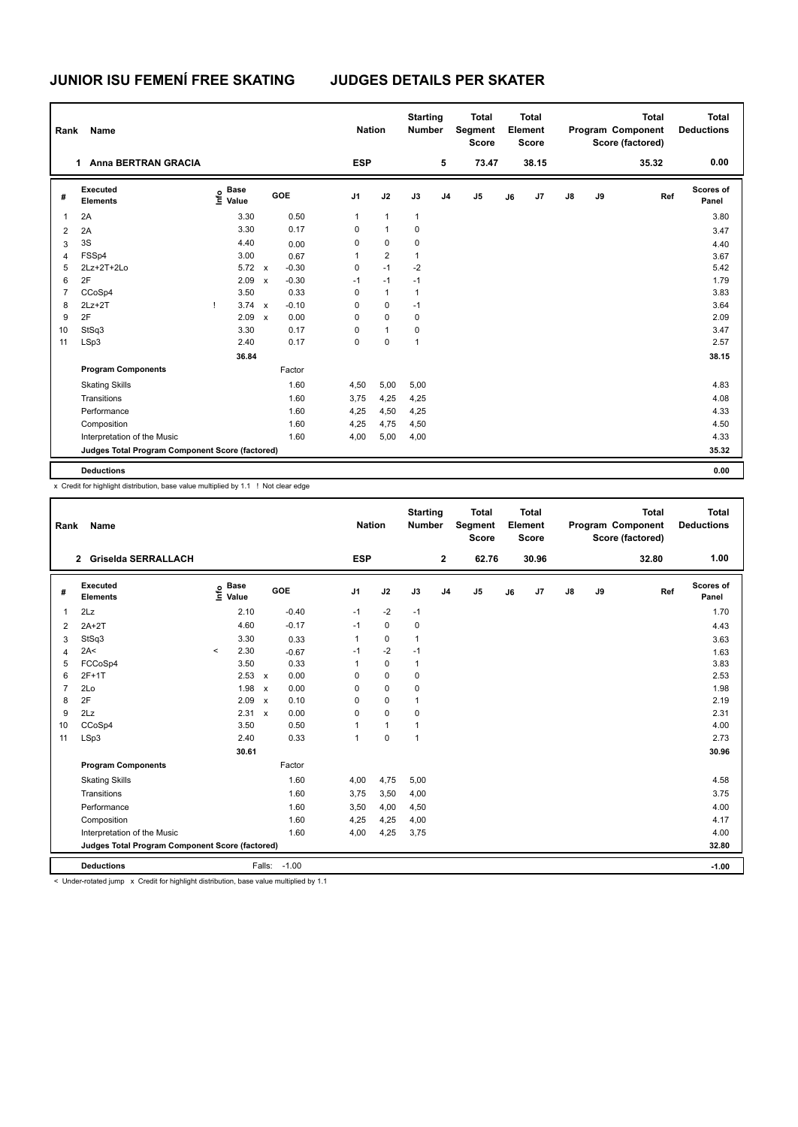| Rank           | Name                                            |                           |                         | <b>Nation</b>  |                | <b>Starting</b><br><b>Number</b> |                | <b>Total</b><br>Segment<br><b>Score</b> |    | <b>Total</b><br>Element<br>Score |    |    | <b>Total</b><br>Program Component<br>Score (factored) | <b>Total</b><br><b>Deductions</b> |
|----------------|-------------------------------------------------|---------------------------|-------------------------|----------------|----------------|----------------------------------|----------------|-----------------------------------------|----|----------------------------------|----|----|-------------------------------------------------------|-----------------------------------|
|                | <b>Anna BERTRAN GRACIA</b><br>1                 |                           |                         | <b>ESP</b>     |                |                                  | 5              | 73.47                                   |    | 38.15                            |    |    | 35.32                                                 | 0.00                              |
| #              | Executed<br><b>Elements</b>                     | <b>Base</b><br>e<br>Value | GOE                     | J <sub>1</sub> | J2             | J3                               | J <sub>4</sub> | J <sub>5</sub>                          | J6 | J7                               | J8 | J9 | Ref                                                   | Scores of<br>Panel                |
| 1              | 2A                                              | 3.30                      | 0.50                    | 1              | $\mathbf{1}$   | 1                                |                |                                         |    |                                  |    |    |                                                       | 3.80                              |
| $\overline{2}$ | 2A                                              | 3.30                      | 0.17                    | 0              | $\mathbf{1}$   | 0                                |                |                                         |    |                                  |    |    |                                                       | 3.47                              |
| 3              | 3S                                              | 4.40                      | 0.00                    | 0              | $\mathbf 0$    | 0                                |                |                                         |    |                                  |    |    |                                                       | 4.40                              |
| $\overline{4}$ | FSSp4                                           | 3.00                      | 0.67                    | 1              | $\overline{2}$ | $\mathbf{1}$                     |                |                                         |    |                                  |    |    |                                                       | 3.67                              |
| 5              | 2Lz+2T+2Lo                                      | $5.72 \times$             | $-0.30$                 | 0              | $-1$           | $-2$                             |                |                                         |    |                                  |    |    |                                                       | 5.42                              |
| 6              | 2F                                              | 2.09                      | $-0.30$<br>$\mathsf{x}$ | $-1$           | $-1$           | $-1$                             |                |                                         |    |                                  |    |    |                                                       | 1.79                              |
| $\overline{7}$ | CCoSp4                                          | 3.50                      | 0.33                    | 0              | $\mathbf{1}$   | $\mathbf{1}$                     |                |                                         |    |                                  |    |    |                                                       | 3.83                              |
| 8              | $2Lz+2T$                                        | 3.74                      | $-0.10$<br>$\mathsf{x}$ | 0              | $\mathbf 0$    | $-1$                             |                |                                         |    |                                  |    |    |                                                       | 3.64                              |
| 9              | 2F                                              | 2.09                      | 0.00<br>$\mathsf{x}$    | 0              | 0              | 0                                |                |                                         |    |                                  |    |    |                                                       | 2.09                              |
| 10             | StSq3                                           | 3.30                      | 0.17                    | 0              | $\mathbf{1}$   | 0                                |                |                                         |    |                                  |    |    |                                                       | 3.47                              |
| 11             | LSp3                                            | 2.40                      | 0.17                    | 0              | 0              | $\mathbf{1}$                     |                |                                         |    |                                  |    |    |                                                       | 2.57                              |
|                |                                                 | 36.84                     |                         |                |                |                                  |                |                                         |    |                                  |    |    |                                                       | 38.15                             |
|                | <b>Program Components</b>                       |                           | Factor                  |                |                |                                  |                |                                         |    |                                  |    |    |                                                       |                                   |
|                | <b>Skating Skills</b>                           |                           | 1.60                    | 4,50           | 5,00           | 5,00                             |                |                                         |    |                                  |    |    |                                                       | 4.83                              |
|                | Transitions                                     |                           | 1.60                    | 3,75           | 4,25           | 4,25                             |                |                                         |    |                                  |    |    |                                                       | 4.08                              |
|                | Performance                                     |                           | 1.60                    | 4,25           | 4,50           | 4,25                             |                |                                         |    |                                  |    |    |                                                       | 4.33                              |
|                | Composition                                     |                           | 1.60                    | 4,25           | 4,75           | 4,50                             |                |                                         |    |                                  |    |    |                                                       | 4.50                              |
|                | Interpretation of the Music                     |                           | 1.60                    | 4,00           | 5,00           | 4,00                             |                |                                         |    |                                  |    |    |                                                       | 4.33                              |
|                | Judges Total Program Component Score (factored) |                           |                         |                |                |                                  |                |                                         |    |                                  |    |    |                                                       | 35.32                             |
|                | <b>Deductions</b>                               |                           |                         |                |                |                                  |                |                                         |    |                                  |    |    |                                                       | 0.00                              |

x Credit for highlight distribution, base value multiplied by 1.1 ! Not clear edge

| Rank           | Name                                            |         |                                             |                           |            |                | <b>Nation</b>  | <b>Starting</b><br><b>Number</b> |                | <b>Total</b><br>Segment<br><b>Score</b> |    | <b>Total</b><br>Element<br>Score |               |    | <b>Total</b><br>Program Component<br>Score (factored) | <b>Total</b><br><b>Deductions</b> |
|----------------|-------------------------------------------------|---------|---------------------------------------------|---------------------------|------------|----------------|----------------|----------------------------------|----------------|-----------------------------------------|----|----------------------------------|---------------|----|-------------------------------------------------------|-----------------------------------|
|                | 2 Griselda SERRALLACH                           |         |                                             |                           |            | <b>ESP</b>     |                |                                  | $\mathbf{2}$   | 62.76                                   |    | 30.96                            |               |    | 32.80                                                 | 1.00                              |
| #              | Executed<br><b>Elements</b>                     |         | <b>Base</b><br>e <sup>Base</sup><br>⊆ Value |                           | <b>GOE</b> | J <sub>1</sub> | J2             | J3                               | J <sub>4</sub> | J5                                      | J6 | J7                               | $\mathsf{J}8$ | J9 | Ref                                                   | <b>Scores of</b><br>Panel         |
| 1              | 2Lz                                             |         | 2.10                                        |                           | $-0.40$    | $-1$           | $-2$           | $-1$                             |                |                                         |    |                                  |               |    |                                                       | 1.70                              |
| $\overline{2}$ | $2A+2T$                                         |         | 4.60                                        |                           | $-0.17$    | $-1$           | $\Omega$       | $\mathbf 0$                      |                |                                         |    |                                  |               |    |                                                       | 4.43                              |
| 3              | StSq3                                           |         | 3.30                                        |                           | 0.33       | 1              | $\Omega$       | $\mathbf{1}$                     |                |                                         |    |                                  |               |    |                                                       | 3.63                              |
| 4              | 2A<                                             | $\prec$ | 2.30                                        |                           | $-0.67$    | $-1$           | $-2$           | $-1$                             |                |                                         |    |                                  |               |    |                                                       | 1.63                              |
| 5              | FCCoSp4                                         |         | 3.50                                        |                           | 0.33       | 1              | $\mathbf 0$    | $\mathbf{1}$                     |                |                                         |    |                                  |               |    |                                                       | 3.83                              |
| 6              | $2F+1T$                                         |         | 2.53                                        | $\mathsf{x}$              | 0.00       | 0              | $\mathbf 0$    | $\mathbf 0$                      |                |                                         |    |                                  |               |    |                                                       | 2.53                              |
| $\overline{7}$ | 2Lo                                             |         | 1.98                                        | $\boldsymbol{\mathsf{x}}$ | 0.00       | 0              | $\mathbf 0$    | $\mathbf 0$                      |                |                                         |    |                                  |               |    |                                                       | 1.98                              |
| 8              | 2F                                              |         | 2.09                                        | $\boldsymbol{\mathsf{x}}$ | 0.10       | 0              | $\mathbf 0$    | $\mathbf{1}$                     |                |                                         |    |                                  |               |    |                                                       | 2.19                              |
| 9              | 2Lz                                             |         | 2.31 x                                      |                           | 0.00       | 0              | $\mathbf 0$    | 0                                |                |                                         |    |                                  |               |    |                                                       | 2.31                              |
| 10             | CCoSp4                                          |         | 3.50                                        |                           | 0.50       | 1              | $\overline{1}$ | $\overline{1}$                   |                |                                         |    |                                  |               |    |                                                       | 4.00                              |
| 11             | LSp3                                            |         | 2.40                                        |                           | 0.33       | 1              | $\mathbf 0$    | $\overline{1}$                   |                |                                         |    |                                  |               |    |                                                       | 2.73                              |
|                |                                                 |         | 30.61                                       |                           |            |                |                |                                  |                |                                         |    |                                  |               |    |                                                       | 30.96                             |
|                | <b>Program Components</b>                       |         |                                             |                           | Factor     |                |                |                                  |                |                                         |    |                                  |               |    |                                                       |                                   |
|                | <b>Skating Skills</b>                           |         |                                             |                           | 1.60       | 4,00           | 4,75           | 5,00                             |                |                                         |    |                                  |               |    |                                                       | 4.58                              |
|                | Transitions                                     |         |                                             |                           | 1.60       | 3,75           | 3,50           | 4,00                             |                |                                         |    |                                  |               |    |                                                       | 3.75                              |
|                | Performance                                     |         |                                             |                           | 1.60       | 3,50           | 4,00           | 4,50                             |                |                                         |    |                                  |               |    |                                                       | 4.00                              |
|                | Composition                                     |         |                                             |                           | 1.60       | 4,25           | 4,25           | 4,00                             |                |                                         |    |                                  |               |    |                                                       | 4.17                              |
|                | Interpretation of the Music                     |         |                                             |                           | 1.60       | 4,00           | 4,25           | 3,75                             |                |                                         |    |                                  |               |    |                                                       | 4.00                              |
|                | Judges Total Program Component Score (factored) |         |                                             |                           |            |                |                |                                  |                |                                         |    |                                  |               |    |                                                       | 32.80                             |
|                | <b>Deductions</b>                               |         |                                             | Falls:                    | $-1.00$    |                |                |                                  |                |                                         |    |                                  |               |    |                                                       | $-1.00$                           |

< Under-rotated jump x Credit for highlight distribution, base value multiplied by 1.1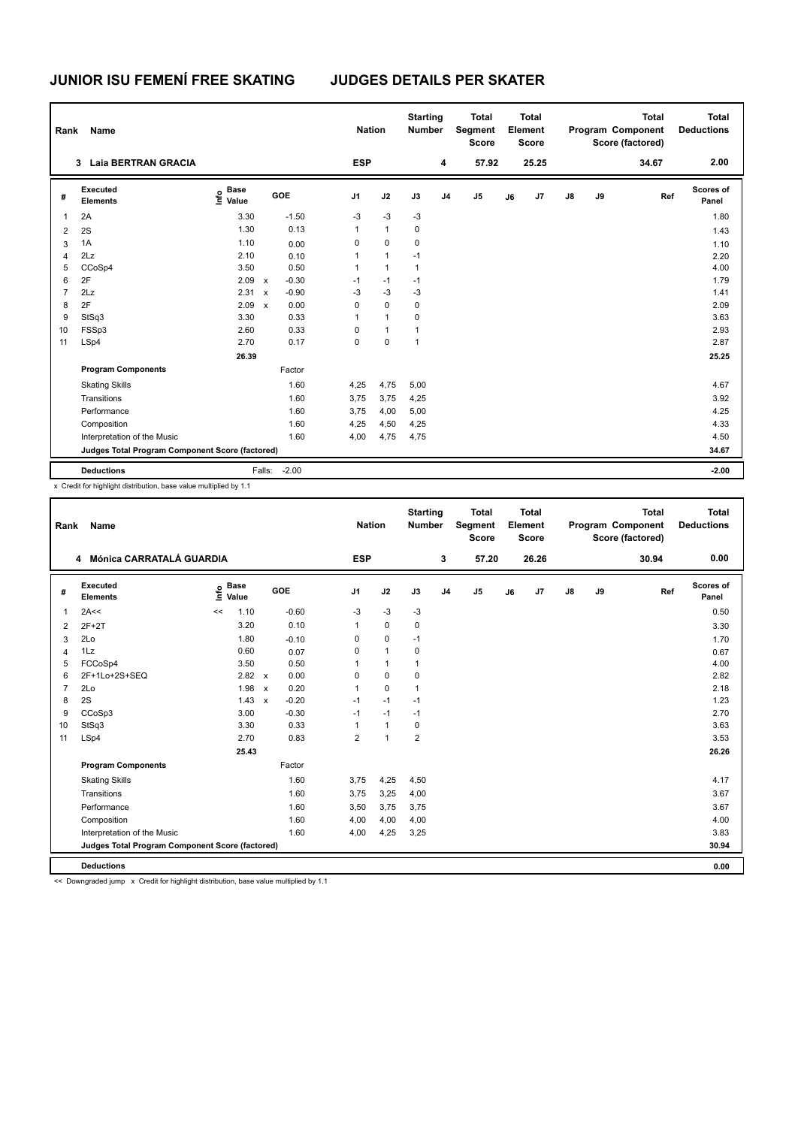| Rank           | Name                                            |                                  |              |         | <b>Nation</b>  |              | <b>Starting</b><br><b>Number</b> |                | <b>Total</b><br>Segment<br><b>Score</b> |    | <b>Total</b><br>Element<br><b>Score</b> |               |    | <b>Total</b><br>Program Component<br>Score (factored) | <b>Total</b><br><b>Deductions</b> |
|----------------|-------------------------------------------------|----------------------------------|--------------|---------|----------------|--------------|----------------------------------|----------------|-----------------------------------------|----|-----------------------------------------|---------------|----|-------------------------------------------------------|-----------------------------------|
|                | 3 Laia BERTRAN GRACIA                           |                                  |              |         | <b>ESP</b>     |              |                                  | 4              | 57.92                                   |    | 25.25                                   |               |    | 34.67                                                 | 2.00                              |
| #              | Executed<br><b>Elements</b>                     | <b>Base</b><br>e Base<br>⊆ Value | GOE          |         | J <sub>1</sub> | J2           | J3                               | J <sub>4</sub> | J <sub>5</sub>                          | J6 | J7                                      | $\mathsf{J}8$ | J9 | Ref                                                   | Scores of<br>Panel                |
| 1              | 2A                                              | 3.30                             |              | $-1.50$ | $-3$           | $-3$         | $-3$                             |                |                                         |    |                                         |               |    |                                                       | 1.80                              |
| 2              | 2S                                              | 1.30                             |              | 0.13    | 1              | $\mathbf{1}$ | 0                                |                |                                         |    |                                         |               |    |                                                       | 1.43                              |
| 3              | 1A                                              | 1.10                             |              | 0.00    | 0              | $\mathbf 0$  | 0                                |                |                                         |    |                                         |               |    |                                                       | 1.10                              |
| 4              | 2Lz                                             | 2.10                             |              | 0.10    | 1              | $\mathbf{1}$ | $-1$                             |                |                                         |    |                                         |               |    |                                                       | 2.20                              |
| 5              | CCoSp4                                          | 3.50                             |              | 0.50    | 1              | $\mathbf{1}$ | $\mathbf{1}$                     |                |                                         |    |                                         |               |    |                                                       | 4.00                              |
| 6              | 2F                                              | 2.09                             | $\mathsf{x}$ | $-0.30$ | $-1$           | $-1$         | $-1$                             |                |                                         |    |                                         |               |    |                                                       | 1.79                              |
| $\overline{7}$ | 2Lz                                             | 2.31                             | $\mathsf{x}$ | $-0.90$ | $-3$           | $-3$         | $-3$                             |                |                                         |    |                                         |               |    |                                                       | 1.41                              |
| 8              | 2F                                              | 2.09                             | $\mathbf{x}$ | 0.00    | 0              | 0            | 0                                |                |                                         |    |                                         |               |    |                                                       | 2.09                              |
| 9              | StSq3                                           | 3.30                             |              | 0.33    | 1              | $\mathbf{1}$ | 0                                |                |                                         |    |                                         |               |    |                                                       | 3.63                              |
| 10             | FSSp3                                           | 2.60                             |              | 0.33    | 0              | $\mathbf{1}$ | 1                                |                |                                         |    |                                         |               |    |                                                       | 2.93                              |
| 11             | LSp4                                            | 2.70                             |              | 0.17    | $\mathbf 0$    | 0            | $\mathbf{1}$                     |                |                                         |    |                                         |               |    |                                                       | 2.87                              |
|                |                                                 | 26.39                            |              |         |                |              |                                  |                |                                         |    |                                         |               |    |                                                       | 25.25                             |
|                | <b>Program Components</b>                       |                                  |              | Factor  |                |              |                                  |                |                                         |    |                                         |               |    |                                                       |                                   |
|                | <b>Skating Skills</b>                           |                                  |              | 1.60    | 4,25           | 4,75         | 5,00                             |                |                                         |    |                                         |               |    |                                                       | 4.67                              |
|                | Transitions                                     |                                  |              | 1.60    | 3,75           | 3,75         | 4,25                             |                |                                         |    |                                         |               |    |                                                       | 3.92                              |
|                | Performance                                     |                                  |              | 1.60    | 3,75           | 4,00         | 5,00                             |                |                                         |    |                                         |               |    |                                                       | 4.25                              |
|                | Composition                                     |                                  |              | 1.60    | 4,25           | 4,50         | 4,25                             |                |                                         |    |                                         |               |    |                                                       | 4.33                              |
|                | Interpretation of the Music                     |                                  |              | 1.60    | 4,00           | 4,75         | 4,75                             |                |                                         |    |                                         |               |    |                                                       | 4.50                              |
|                | Judges Total Program Component Score (factored) |                                  |              |         |                |              |                                  |                |                                         |    |                                         |               |    |                                                       | 34.67                             |
|                | <b>Deductions</b>                               |                                  | Falls:       | $-2.00$ |                |              |                                  |                |                                         |    |                                         |               |    |                                                       | $-2.00$                           |

x Credit for highlight distribution, base value multiplied by 1.1

| <b>Name</b>                 |                                                       | <b>Nation</b>                                            |                                                                                                                                                            |                                | <b>Total</b><br><b>Score</b>           | Total<br>Element<br><b>Score</b> |                                  |         |    | <b>Total</b> | <b>Total</b><br><b>Deductions</b> |  |                                              |
|-----------------------------|-------------------------------------------------------|----------------------------------------------------------|------------------------------------------------------------------------------------------------------------------------------------------------------------|--------------------------------|----------------------------------------|----------------------------------|----------------------------------|---------|----|--------------|-----------------------------------|--|----------------------------------------------|
|                             | <b>ESP</b>                                            |                                                          |                                                                                                                                                            | 3                              | 57.20                                  |                                  | 26.26                            |         |    | 30.94        | 0.00                              |  |                                              |
| Executed<br><b>Elements</b> | <b>Base</b><br>١nfo<br>Value                          | GOE                                                      | J <sub>1</sub>                                                                                                                                             | J2                             | J3                                     | J <sub>4</sub>                   | J <sub>5</sub>                   | J6      | J7 | ${\sf J8}$   | J9                                |  | Scores of<br>Panel                           |
| 2A<<                        | 1.10<br><<                                            | $-0.60$                                                  | -3                                                                                                                                                         | $-3$                           | $-3$                                   |                                  |                                  |         |    |              |                                   |  | 0.50                                         |
| $2F+2T$                     | 3.20                                                  | 0.10                                                     | $\mathbf{1}$                                                                                                                                               | $\Omega$                       | $\mathbf 0$                            |                                  |                                  |         |    |              |                                   |  | 3.30                                         |
| 2Lo                         | 1.80                                                  | $-0.10$                                                  | 0                                                                                                                                                          | $\mathbf 0$                    | $-1$                                   |                                  |                                  |         |    |              |                                   |  | 1.70                                         |
| 1Lz                         | 0.60                                                  | 0.07                                                     | 0                                                                                                                                                          | $\mathbf{1}$                   | $\mathbf 0$                            |                                  |                                  |         |    |              |                                   |  | 0.67                                         |
|                             |                                                       |                                                          |                                                                                                                                                            | $\overline{1}$                 | $\mathbf{1}$                           |                                  |                                  |         |    |              |                                   |  | 4.00                                         |
| 2F+1Lo+2S+SEQ               | 2.82                                                  | 0.00                                                     | 0                                                                                                                                                          | $\mathbf 0$                    | 0                                      |                                  |                                  |         |    |              |                                   |  | 2.82                                         |
| 2Lo                         | 1.98                                                  | 0.20                                                     |                                                                                                                                                            | $\Omega$                       | $\mathbf{1}$                           |                                  |                                  |         |    |              |                                   |  | 2.18                                         |
|                             | 1.43                                                  |                                                          | $-1$                                                                                                                                                       | $-1$                           | $-1$                                   |                                  |                                  |         |    |              |                                   |  | 1.23                                         |
|                             |                                                       |                                                          | $-1$                                                                                                                                                       |                                | $-1$                                   |                                  |                                  |         |    |              |                                   |  | 2.70                                         |
|                             |                                                       |                                                          |                                                                                                                                                            |                                |                                        |                                  |                                  |         |    |              |                                   |  | 3.63                                         |
|                             |                                                       |                                                          |                                                                                                                                                            |                                |                                        |                                  |                                  |         |    |              |                                   |  | 3.53                                         |
|                             | 25.43                                                 |                                                          |                                                                                                                                                            |                                |                                        |                                  |                                  |         |    |              |                                   |  | 26.26                                        |
| <b>Program Components</b>   |                                                       | Factor                                                   |                                                                                                                                                            |                                |                                        |                                  |                                  |         |    |              |                                   |  |                                              |
| <b>Skating Skills</b>       |                                                       | 1.60                                                     | 3,75                                                                                                                                                       | 4,25                           | 4,50                                   |                                  |                                  |         |    |              |                                   |  | 4.17                                         |
| Transitions                 |                                                       | 1.60                                                     | 3,75                                                                                                                                                       | 3,25                           | 4,00                                   |                                  |                                  |         |    |              |                                   |  | 3.67                                         |
| Performance                 |                                                       | 1.60                                                     | 3,50                                                                                                                                                       | 3,75                           | 3,75                                   |                                  |                                  |         |    |              |                                   |  | 3.67                                         |
| Composition                 |                                                       | 1.60                                                     | 4,00                                                                                                                                                       | 4,00                           | 4,00                                   |                                  |                                  |         |    |              |                                   |  | 4.00                                         |
| Interpretation of the Music |                                                       | 1.60                                                     | 4,00                                                                                                                                                       | 4,25                           | 3,25                                   |                                  |                                  |         |    |              |                                   |  | 3.83                                         |
|                             |                                                       |                                                          |                                                                                                                                                            |                                |                                        |                                  |                                  |         |    |              |                                   |  | 30.94                                        |
| <b>Deductions</b>           |                                                       |                                                          |                                                                                                                                                            |                                |                                        |                                  |                                  |         |    |              |                                   |  | 0.00                                         |
|                             | Rank<br>4<br>FCCoSp4<br>2S<br>CCoSp3<br>StSq3<br>LSp4 | Mónica CARRATALÁ GUARDIA<br>3.50<br>3.00<br>3.30<br>2.70 | 0.50<br>$\mathsf{x}$<br>$\mathsf{x}$<br>$-0.20$<br>$\boldsymbol{\mathsf{x}}$<br>$-0.30$<br>0.33<br>0.83<br>Judges Total Program Component Score (factored) | $\mathbf{1}$<br>$\overline{2}$ | $-1$<br>$\mathbf{1}$<br>$\overline{1}$ | $\mathbf 0$<br>$\overline{2}$    | <b>Starting</b><br><b>Number</b> | Segment |    |              |                                   |  | Program Component<br>Score (factored)<br>Ref |

<< Downgraded jump x Credit for highlight distribution, base value multiplied by 1.1